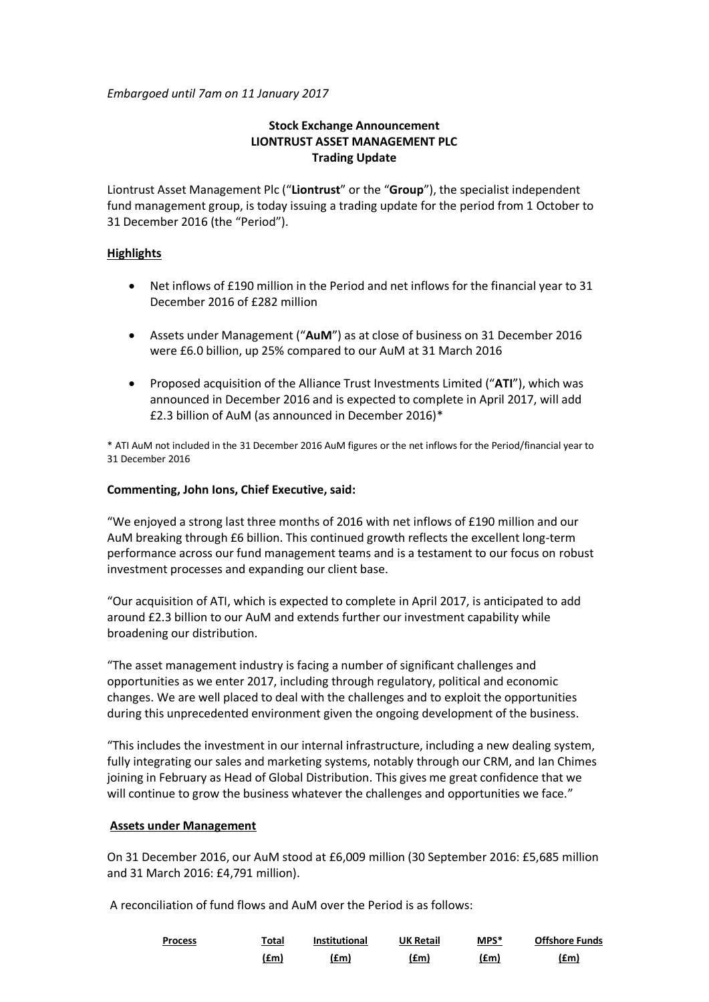*Embargoed until 7am on 11 January 2017*

# **Stock Exchange Announcement LIONTRUST ASSET MANAGEMENT PLC Trading Update**

Liontrust Asset Management Plc ("**Liontrust**" or the "**Group**"), the specialist independent fund management group, is today issuing a trading update for the period from 1 October to 31 December 2016 (the "Period").

## **Highlights**

- Net inflows of £190 million in the Period and net inflows for the financial year to 31 December 2016 of £282 million
- Assets under Management ("**AuM**") as at close of business on 31 December 2016 were £6.0 billion, up 25% compared to our AuM at 31 March 2016
- Proposed acquisition of the Alliance Trust Investments Limited ("**ATI**"), which was announced in December 2016 and is expected to complete in April 2017, will add £2.3 billion of AuM (as announced in December 2016)\*

\* ATI AuM not included in the 31 December 2016 AuM figures or the net inflows for the Period/financial year to 31 December 2016

### **Commenting, John Ions, Chief Executive, said:**

"We enjoyed a strong last three months of 2016 with net inflows of £190 million and our AuM breaking through £6 billion. This continued growth reflects the excellent long-term performance across our fund management teams and is a testament to our focus on robust investment processes and expanding our client base.

"Our acquisition of ATI, which is expected to complete in April 2017, is anticipated to add around £2.3 billion to our AuM and extends further our investment capability while broadening our distribution.

"The asset management industry is facing a number of significant challenges and opportunities as we enter 2017, including through regulatory, political and economic changes. We are well placed to deal with the challenges and to exploit the opportunities during this unprecedented environment given the ongoing development of the business.

"This includes the investment in our internal infrastructure, including a new dealing system, fully integrating our sales and marketing systems, notably through our CRM, and Ian Chimes joining in February as Head of Global Distribution. This gives me great confidence that we will continue to grow the business whatever the challenges and opportunities we face."

## **Assets under Management**

On 31 December 2016, our AuM stood at £6,009 million (30 September 2016: £5,685 million and 31 March 2016: £4,791 million).

A reconciliation of fund flows and AuM over the Period is as follows:

| <b>Process</b> | Total | <b>Institutional</b> | <b>UK Retail</b> | $MPS*$ | <b>Offshore Funds</b> |
|----------------|-------|----------------------|------------------|--------|-----------------------|
|                | (£m)  | (£m)                 | (£m)             | (£m)   | (£m)                  |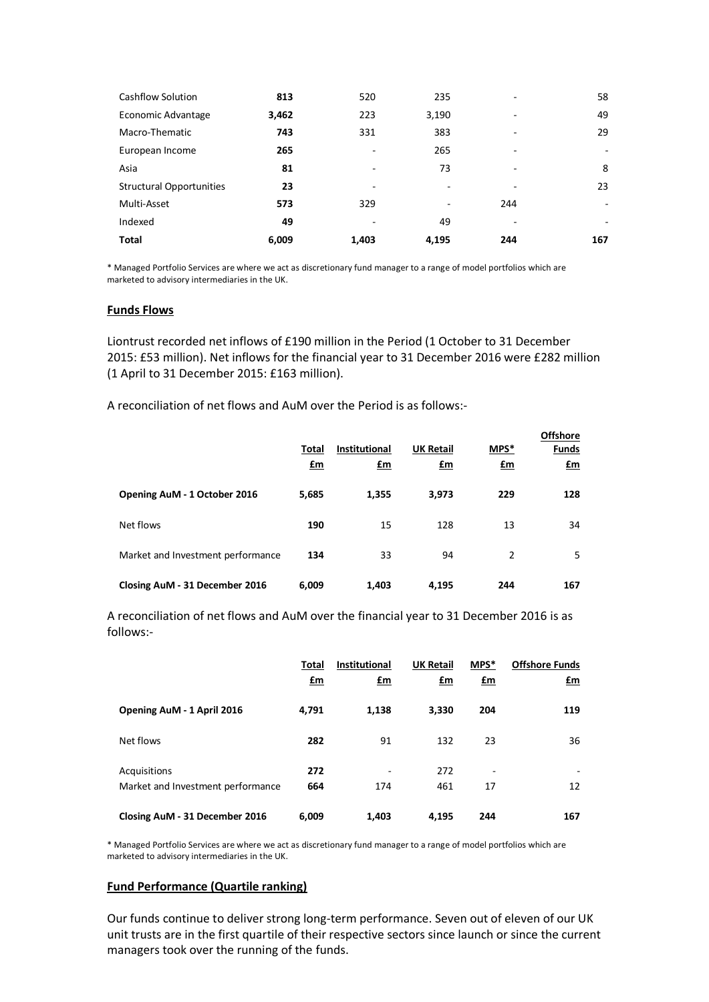| Cashflow Solution               | 813   | 520   | 235   |     | 58  |
|---------------------------------|-------|-------|-------|-----|-----|
| Economic Advantage              | 3,462 | 223   | 3,190 | ۰   | 49  |
| Macro-Thematic                  | 743   | 331   | 383   | ۰   | 29  |
| European Income                 | 265   | ۰     | 265   | ۰   |     |
| Asia                            | 81    | ۰     | 73    | ٠   | 8   |
| <b>Structural Opportunities</b> | 23    | -     | -     |     | 23  |
| Multi-Asset                     | 573   | 329   | ۰     | 244 | ۰   |
| Indexed                         | 49    | -     | 49    | ۰   | ۰   |
| <b>Total</b>                    | 6,009 | 1,403 | 4,195 | 244 | 167 |

\* Managed Portfolio Services are where we act as discretionary fund manager to a range of model portfolios which are marketed to advisory intermediaries in the UK.

### **Funds Flows**

Liontrust recorded net inflows of £190 million in the Period (1 October to 31 December 2015: £53 million). Net inflows for the financial year to 31 December 2016 were £282 million (1 April to 31 December 2015: £163 million).

A reconciliation of net flows and AuM over the Period is as follows:-

|                                   | Total<br>£m | Institutional<br>£m | <b>UK Retail</b><br>$\mathbf{f}$ m | MPS*<br>$fm$   | <b>Offshore</b><br><b>Funds</b><br>$\mathbf{f}$ m |
|-----------------------------------|-------------|---------------------|------------------------------------|----------------|---------------------------------------------------|
| Opening AuM - 1 October 2016      | 5,685       | 1,355               | 3,973                              | 229            | 128                                               |
| Net flows                         | 190         | 15                  | 128                                | 13             | 34                                                |
| Market and Investment performance | 134         | 33                  | 94                                 | $\overline{2}$ | 5                                                 |
| Closing AuM - 31 December 2016    | 6,009       | 1,403               | 4,195                              | 244            | 167                                               |

A reconciliation of net flows and AuM over the financial year to 31 December 2016 is as follows:-

|                                                   | Total<br>$\mathbf{f}$ m | <b>Institutional</b><br><u>£m</u> | <b>UK Retail</b><br>$f_{\text{m}}$ | MPS*<br>$fm$                   | <b>Offshore Funds</b><br><u>£m</u> |
|---------------------------------------------------|-------------------------|-----------------------------------|------------------------------------|--------------------------------|------------------------------------|
| Opening AuM - 1 April 2016                        | 4.791                   | 1,138                             | 3,330                              | 204                            | 119                                |
| Net flows                                         | 282                     | 91                                | 132                                | 23                             | 36                                 |
| Acquisitions<br>Market and Investment performance | 272<br>664              | 174                               | 272<br>461                         | $\overline{\phantom{a}}$<br>17 | 12                                 |
| Closing AuM - 31 December 2016                    | 6,009                   | 1.403                             | 4.195                              | 244                            | 167                                |

\* Managed Portfolio Services are where we act as discretionary fund manager to a range of model portfolios which are marketed to advisory intermediaries in the UK.

## **Fund Performance (Quartile ranking)**

Our funds continue to deliver strong long-term performance. Seven out of eleven of our UK unit trusts are in the first quartile of their respective sectors since launch or since the current managers took over the running of the funds.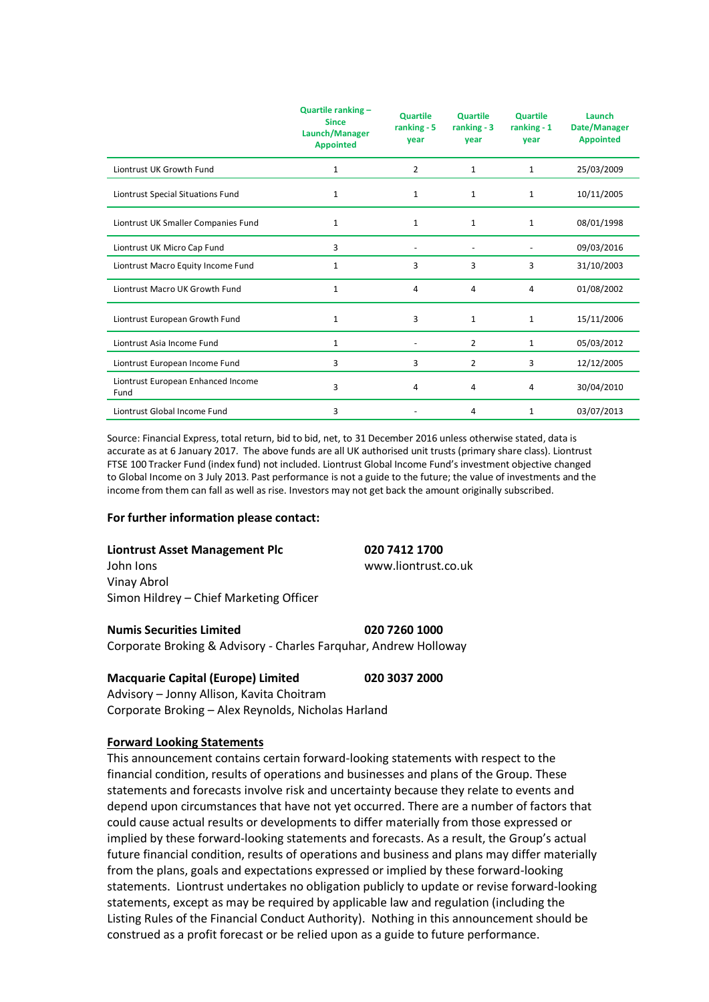|                                            | Quartile ranking -<br><b>Since</b><br>Launch/Manager<br><b>Appointed</b> | <b>Quartile</b><br>ranking $-5$<br>year | <b>Quartile</b><br>ranking $-3$<br>year | <b>Quartile</b><br>ranking $-1$<br>year | Launch<br>Date/Manager<br><b>Appointed</b> |
|--------------------------------------------|--------------------------------------------------------------------------|-----------------------------------------|-----------------------------------------|-----------------------------------------|--------------------------------------------|
| Liontrust UK Growth Fund                   | 1                                                                        | $\overline{2}$                          | $\mathbf{1}$                            | $\mathbf{1}$                            | 25/03/2009                                 |
| Liontrust Special Situations Fund          | 1                                                                        | 1                                       | 1                                       | $\mathbf{1}$                            | 10/11/2005                                 |
| Liontrust UK Smaller Companies Fund        | 1                                                                        | 1                                       | 1                                       | $\mathbf{1}$                            | 08/01/1998                                 |
| Liontrust UK Micro Cap Fund                | 3                                                                        | ۰                                       | $\overline{\phantom{a}}$                | $\overline{\phantom{a}}$                | 09/03/2016                                 |
| Liontrust Macro Equity Income Fund         | 1                                                                        | 3                                       | 3                                       | 3                                       | 31/10/2003                                 |
| Liontrust Macro UK Growth Fund             | 1                                                                        | 4                                       | 4                                       | $\overline{4}$                          | 01/08/2002                                 |
| Liontrust European Growth Fund             | 1                                                                        | 3                                       | 1                                       | $\mathbf{1}$                            | 15/11/2006                                 |
| Liontrust Asia Income Fund                 | 1                                                                        | $\overline{\phantom{a}}$                | $\overline{2}$                          | $\mathbf{1}$                            | 05/03/2012                                 |
| Liontrust European Income Fund             | 3                                                                        | 3                                       | $\overline{2}$                          | 3                                       | 12/12/2005                                 |
| Liontrust European Enhanced Income<br>Fund | 3                                                                        | 4                                       | 4                                       | $\overline{4}$                          | 30/04/2010                                 |
| Liontrust Global Income Fund               | 3                                                                        |                                         | 4                                       | 1                                       | 03/07/2013                                 |

Source: Financial Express, total return, bid to bid, net, to 31 December 2016 unless otherwise stated, data is accurate as at 6 January 2017. The above funds are all UK authorised unit trusts (primary share class). Liontrust FTSE 100 Tracker Fund (index fund) not included. Liontrust Global Income Fund's investment objective changed to Global Income on 3 July 2013. Past performance is not a guide to the future; the value of investments and the income from them can fall as well as rise. Investors may not get back the amount originally subscribed.

### **For further information please contact:**

#### **Liontrust Asset Management Plc 020 7412 1700**

John Ions www.liontrust.co.uk Vinay Abrol Simon Hildrey – Chief Marketing Officer

#### **Numis Securities Limited 020 7260 1000**

Corporate Broking & Advisory - Charles Farquhar, Andrew Holloway

### **Macquarie Capital (Europe) Limited 020 3037 2000**

Advisory – Jonny Allison, Kavita Choitram Corporate Broking – Alex Reynolds, Nicholas Harland

### **Forward Looking Statements**

This announcement contains certain forward-looking statements with respect to the financial condition, results of operations and businesses and plans of the Group. These statements and forecasts involve risk and uncertainty because they relate to events and depend upon circumstances that have not yet occurred. There are a number of factors that could cause actual results or developments to differ materially from those expressed or implied by these forward-looking statements and forecasts. As a result, the Group's actual future financial condition, results of operations and business and plans may differ materially from the plans, goals and expectations expressed or implied by these forward-looking statements. Liontrust undertakes no obligation publicly to update or revise forward-looking statements, except as may be required by applicable law and regulation (including the Listing Rules of the Financial Conduct Authority). Nothing in this announcement should be construed as a profit forecast or be relied upon as a guide to future performance.